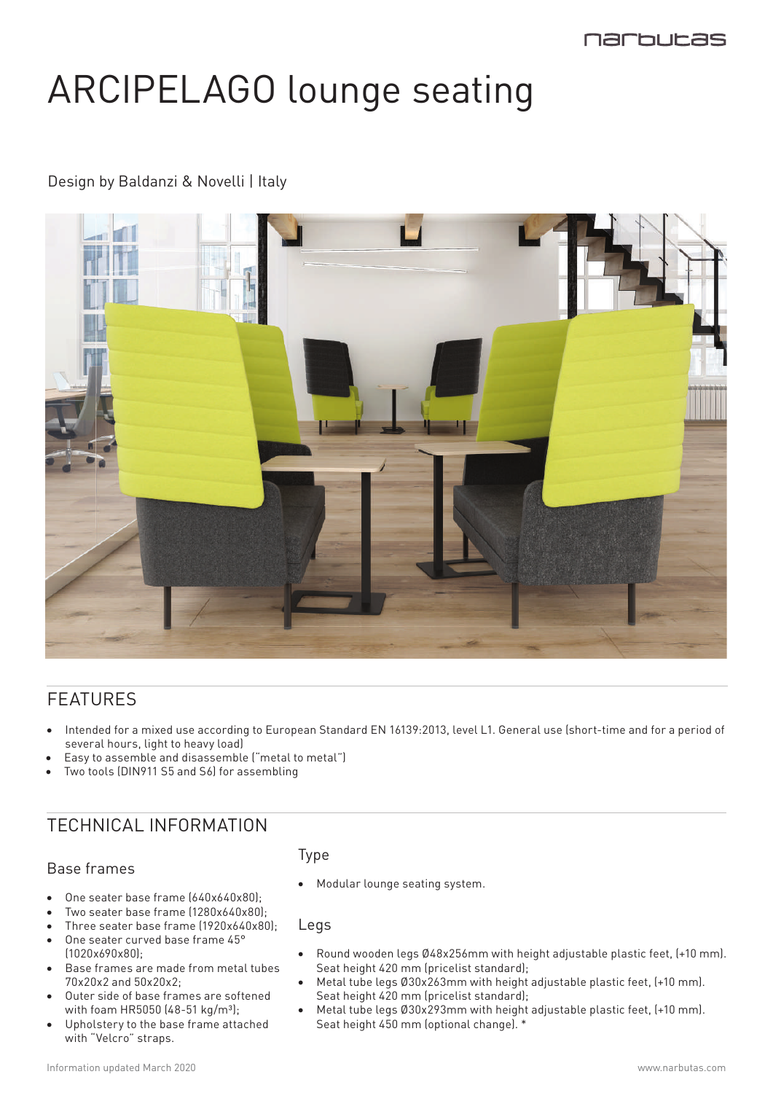# ARCIPELAGO lounge seating

### Design by Baldanzi & Novelli | Italy



## FEATURES

- Intended for a mixed use according to European Standard EN 16139:2013, level L1. General use (short-time and for a period of several hours, light to heavy load)
- Easy to assemble and disassemble ("metal to metal")
- Two tools (DIN911 S5 and S6) for assembling

## TECHNICAL INFORMATION

#### Base frames

- 
- One seater base frame (640x640x80);
- Two seater base frame  $(1280x640x80)$ ;
- Three seater base frame (1920x640x80);
- One seater curved base frame 45° (1020x690x80);
- Base frames are made from metal tubes 70x20x2 and 50x20x2;
- Outer side of base frames are softened with foam HR5050 (48-51 kg/m<sup>3</sup>);
- Upholstery to the base frame attached with "Velcro" straps.

### Type

• Modular lounge seating system.

Legs

- Round wooden legs Ø48x256mm with height adjustable plastic feet, (+10 mm). Seat height 420 mm (pricelist standard);
- Metal tube legs Ø30x263mm with height adjustable plastic feet, (+10 mm). Seat height 420 mm (pricelist standard);
- Metal tube legs Ø30x293mm with height adjustable plastic feet, (+10 mm). Seat height 450 mm (optional change). \*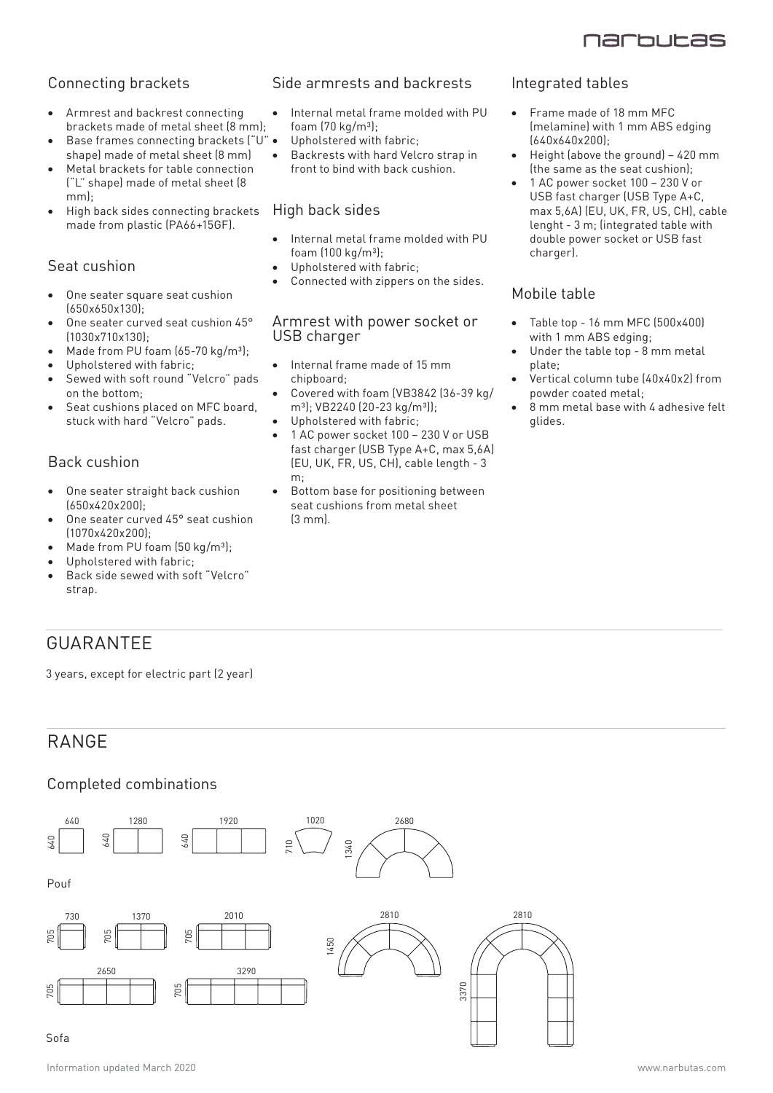

#### Connecting brackets

- Armrest and backrest connecting brackets made of metal sheet (8 mm);
- Base frames connecting brackets ("U" . shape) made of metal sheet (8 mm)
- Metal brackets for table connection ("L" shape) made of metal sheet (8 mm);
- High back sides connecting brackets made from plastic (PA66+15GF).

#### Seat cushion

- One seater square seat cushion (650x650x130);
- One seater curved seat cushion 45° (1030x710x130);
- Made from PU foam  $(65-70 \text{ kg/m}^3)$ ;
- Upholstered with fabric:
- Sewed with soft round "Velcro" pads on the bottom;
- Seat cushions placed on MFC board, stuck with hard "Velcro" pads.

#### Back cushion

- One seater straight back cushion (650x420x200);
- One seater curved 45° seat cushion (1070x420x200);
- Made from PU foam (50 kg/m<sup>3</sup>);
- Upholstered with fabric;
- Back side sewed with soft "Velcro" strap.

## GUARANTEE

3 years, except for electric part (2 year)

## RANGE

#### Completed combinations



#### Side armrests and backrests

- Internal metal frame molded with PU foam  $(70 \text{ kg/m}^3)$ ;
- Upholstered with fabric;
- Backrests with hard Velcro strap in front to bind with back cushion.

#### High back sides

- Internal metal frame molded with PU foam  $(100 \text{ kg/m}^3)$ ;
- Upholstered with fabric;
- Connected with zippers on the sides.

#### Armrest with power socket or USB charger

- Internal frame made of 15 mm chipboard;
- Covered with foam (VB3842 (36-39 kg/ m<sup>3</sup>); VB2240 (20-23 kg/m<sup>3</sup>));
- Upholstered with fabric;
- 1 AC power socket 100 230 V or USB fast charger (USB Type A+C, max 5,6A) (EU, UK, FR, US, CH), cable length - 3 m;
- Bottom base for positioning between seat cushions from metal sheet  $[3 \text{ mm}]$

#### Integrated tables

- Frame made of 18 mm MFC (melamine) with 1 mm ABS edging (640x640x200);
- Height (above the ground)  $-420$  mm (the same as the seat cushion);
- • 1 AC power socket 100 230 V or USB fast charger (USB Type A+C, max 5,6A) (EU, UK, FR, US, CH), cable lenght - 3 m; (integrated table with double power socket or USB fast charger).

#### Mobile table

- Table top 16 mm MFC (500x400) with 1 mm ABS edging;
- Under the table top  $8$  mm metal plate;
- Vertical column tube (40x40x2) from powder coated metal;
- 8 mm metal base with 4 adhesive felt glides.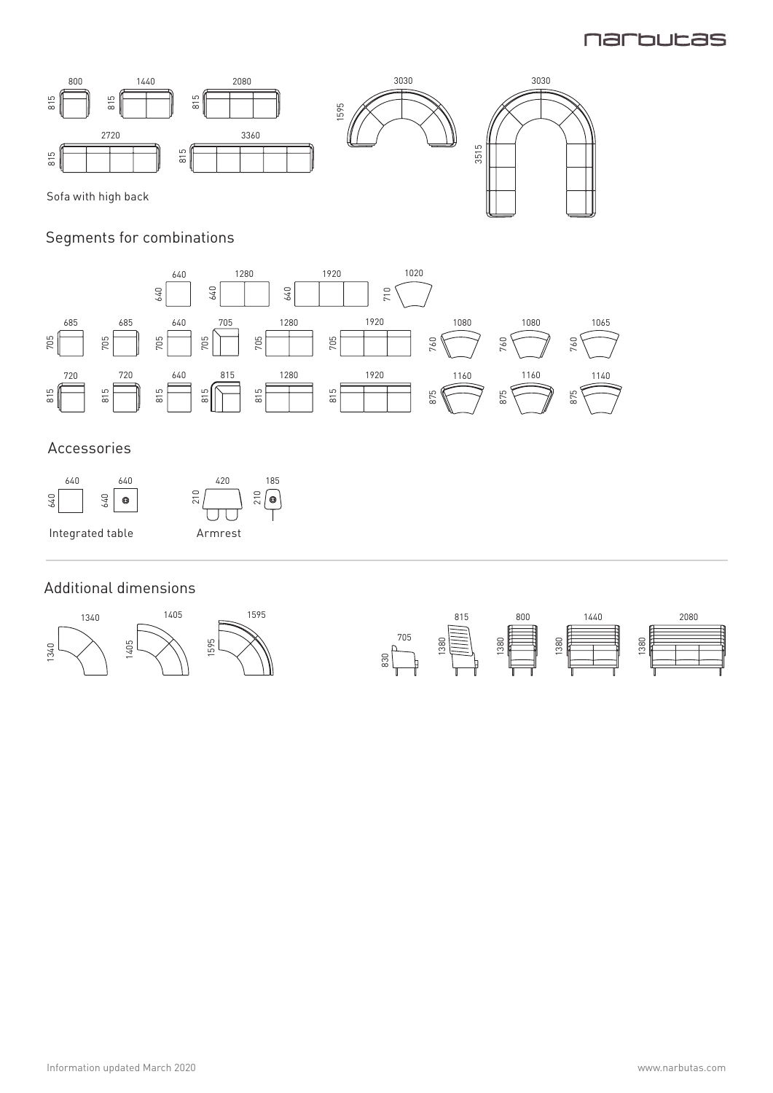## **Narbutas**



## Segments for combinations



### Accessories



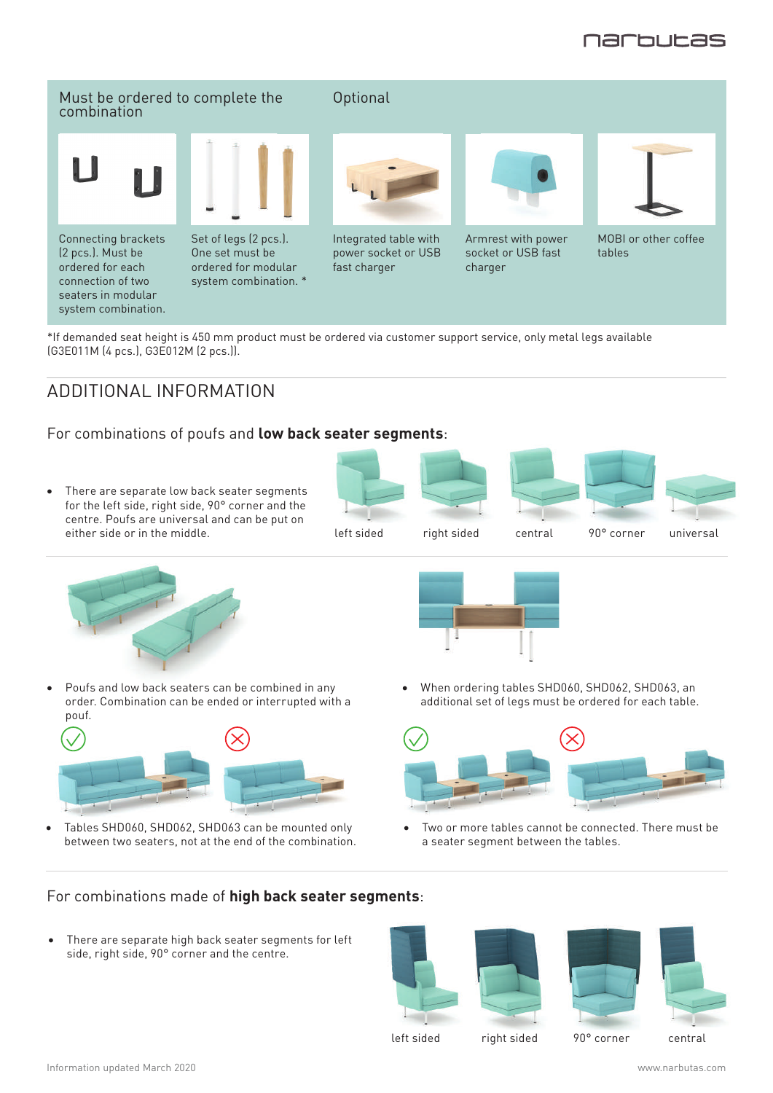

#### Must be ordered to complete the combination

Connecting brackets (2 pcs.). Must be ordered for each connection of two seaters in modular system combination.



Set of legs (2 pcs.). One set must be ordered for modular system combination. \* **Optional** 



Integrated table with power socket or USB fast charger



Armrest with power socket or USB fast charger



MOBI or other coffee tables

\*If demanded seat height is 450 mm product must be ordered via customer support service, only metal legs available (G3E011M (4 pcs.), G3E012M (2 pcs.)).

## ADDITIONAL INFORMATION

#### For combinations of poufs and **low back seater segments**:

• There are separate low back seater segments for the left side, right side, 90° corner and the centre. Poufs are universal and can be put on either side or in the middle. The middle stated right sided central 90° corner universal











90° corner





- 
- Poufs and low back seaters can be combined in any order. Combination can be ended or interrupted with a pouf.



Tables SHD060, SHD062, SHD063 can be mounted only between two seaters, not at the end of the combination. When ordering tables SHD060, SHD062, SHD063, an additional set of legs must be ordered for each table.



Two or more tables cannot be connected. There must be a seater segment between the tables.

#### For combinations made of **high back seater segments**:

There are separate high back seater segments for left side, right side, 90° corner and the centre.







left sided right sided 90° corner central